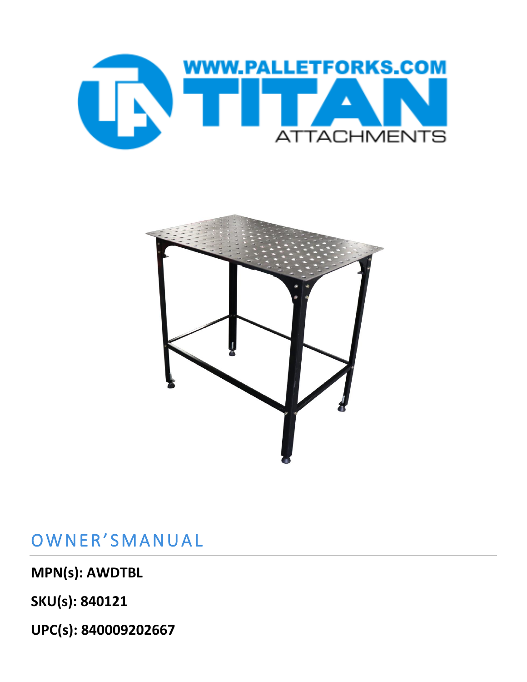



## OWNER'SMANUAL

**MPN(s): AWDTBL**

**SKU(s): 840121**

**UPC(s): 840009202667**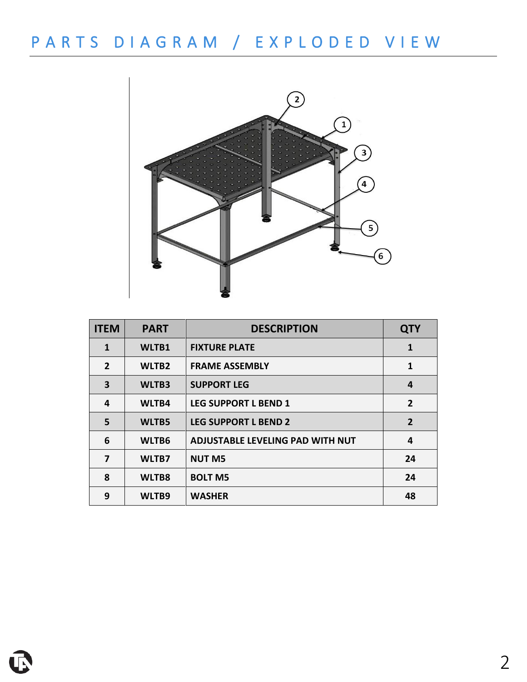# P A R T S D I A G R A M / E X P L O D E D V I E W



| <b>ITEM</b>    | <b>PART</b>       | <b>DESCRIPTION</b>                      | <b>QTY</b>     |
|----------------|-------------------|-----------------------------------------|----------------|
| $\mathbf{1}$   | WLTB1             | <b>FIXTURE PLATE</b>                    | 1              |
| $\overline{2}$ | WLTB <sub>2</sub> | <b>FRAME ASSEMBLY</b>                   | $\mathbf{1}$   |
| 3              | WLTB3             | <b>SUPPORT LEG</b>                      | 4              |
| 4              | WLTB4             | <b>LEG SUPPORT L BEND 1</b>             | $\overline{2}$ |
| 5              | WLTB5             | <b>LEG SUPPORT L BEND 2</b>             | $\overline{2}$ |
| 6              | WLTB6             | <b>ADJUSTABLE LEVELING PAD WITH NUT</b> | 4              |
| 7              | WLTB7             | <b>NUT M5</b>                           | 24             |
| 8              | WLTB8             | <b>BOLT M5</b>                          | 24             |
| 9              | WLTB9             | <b>WASHER</b>                           | 48             |

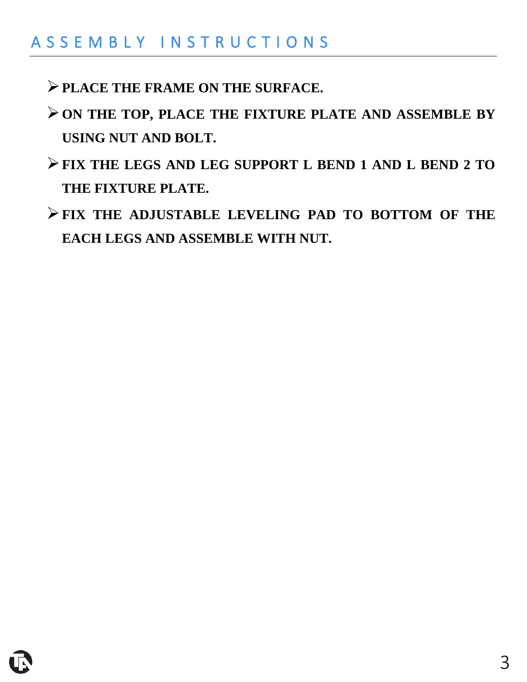### A S S E M B L Y I N S T R U C T I O N S

- ➢**PLACE THE FRAME ON THE SURFACE.**
- ➢**ON THE TOP, PLACE THE FIXTURE PLATE AND ASSEMBLE BY USING NUT AND BOLT.**
- ➢**FIX THE LEGS AND LEG SUPPORT L BEND 1 AND L BEND 2 TO THE FIXTURE PLATE.**
- ➢**FIX THE ADJUSTABLE LEVELING PAD TO BOTTOM OF THE EACH LEGS AND ASSEMBLE WITH NUT.**